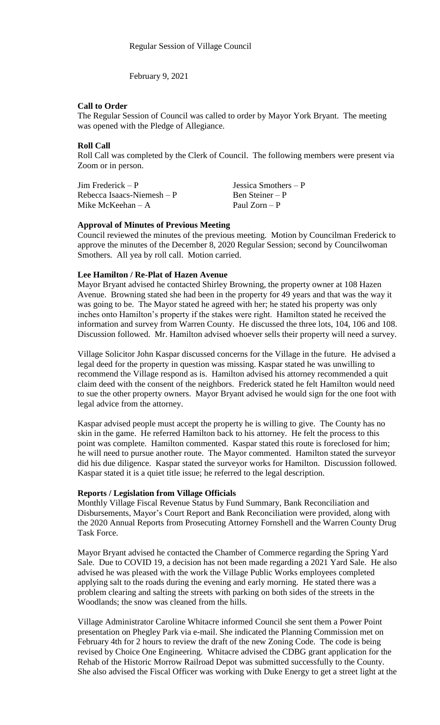February 9, 2021

## **Call to Order**

The Regular Session of Council was called to order by Mayor York Bryant. The meeting was opened with the Pledge of Allegiance.

# **Roll Call**

Roll Call was completed by the Clerk of Council. The following members were present via Zoom or in person.

| $\text{Jim Frederick} - \text{P}$ | Jessica Smothers $-P$ |
|-----------------------------------|-----------------------|
| Rebecca Isaacs-Niemesh $-P$       | Ben Steiner – P       |
| Mike McKeehan $-A$                | Paul $Zorn - P$       |

# **Approval of Minutes of Previous Meeting**

Council reviewed the minutes of the previous meeting. Motion by Councilman Frederick to approve the minutes of the December 8, 2020 Regular Session; second by Councilwoman Smothers. All yea by roll call. Motion carried.

#### **Lee Hamilton / Re-Plat of Hazen Avenue**

Mayor Bryant advised he contacted Shirley Browning, the property owner at 108 Hazen Avenue. Browning stated she had been in the property for 49 years and that was the way it was going to be. The Mayor stated he agreed with her; he stated his property was only inches onto Hamilton's property if the stakes were right. Hamilton stated he received the information and survey from Warren County. He discussed the three lots, 104, 106 and 108. Discussion followed. Mr. Hamilton advised whoever sells their property will need a survey.

Village Solicitor John Kaspar discussed concerns for the Village in the future. He advised a legal deed for the property in question was missing. Kaspar stated he was unwilling to recommend the Village respond as is. Hamilton advised his attorney recommended a quit claim deed with the consent of the neighbors. Frederick stated he felt Hamilton would need to sue the other property owners. Mayor Bryant advised he would sign for the one foot with legal advice from the attorney.

Kaspar advised people must accept the property he is willing to give. The County has no skin in the game. He referred Hamilton back to his attorney. He felt the process to this point was complete. Hamilton commented. Kaspar stated this route is foreclosed for him; he will need to pursue another route. The Mayor commented. Hamilton stated the surveyor did his due diligence. Kaspar stated the surveyor works for Hamilton. Discussion followed. Kaspar stated it is a quiet title issue; he referred to the legal description.

### **Reports / Legislation from Village Officials**

Monthly Village Fiscal Revenue Status by Fund Summary, Bank Reconciliation and Disbursements, Mayor's Court Report and Bank Reconciliation were provided, along with the 2020 Annual Reports from Prosecuting Attorney Fornshell and the Warren County Drug Task Force.

Mayor Bryant advised he contacted the Chamber of Commerce regarding the Spring Yard Sale. Due to COVID 19, a decision has not been made regarding a 2021 Yard Sale. He also advised he was pleased with the work the Village Public Works employees completed applying salt to the roads during the evening and early morning. He stated there was a problem clearing and salting the streets with parking on both sides of the streets in the Woodlands; the snow was cleaned from the hills.

Village Administrator Caroline Whitacre informed Council she sent them a Power Point presentation on Phegley Park via e-mail. She indicated the Planning Commission met on February 4th for 2 hours to review the draft of the new Zoning Code. The code is being revised by Choice One Engineering. Whitacre advised the CDBG grant application for the Rehab of the Historic Morrow Railroad Depot was submitted successfully to the County. She also advised the Fiscal Officer was working with Duke Energy to get a street light at the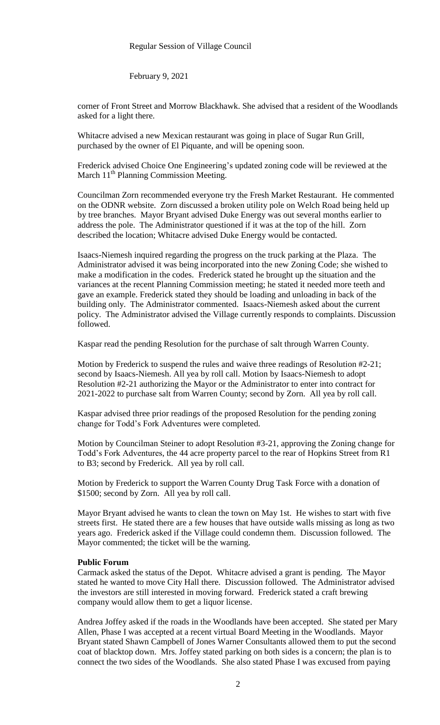February 9, 2021

corner of Front Street and Morrow Blackhawk. She advised that a resident of the Woodlands asked for a light there.

Whitacre advised a new Mexican restaurant was going in place of Sugar Run Grill, purchased by the owner of El Piquante, and will be opening soon.

Frederick advised Choice One Engineering's updated zoning code will be reviewed at the March 11<sup>th</sup> Planning Commission Meeting.

Councilman Zorn recommended everyone try the Fresh Market Restaurant. He commented on the ODNR website. Zorn discussed a broken utility pole on Welch Road being held up by tree branches. Mayor Bryant advised Duke Energy was out several months earlier to address the pole. The Administrator questioned if it was at the top of the hill. Zorn described the location; Whitacre advised Duke Energy would be contacted.

Isaacs-Niemesh inquired regarding the progress on the truck parking at the Plaza. The Administrator advised it was being incorporated into the new Zoning Code; she wished to make a modification in the codes. Frederick stated he brought up the situation and the variances at the recent Planning Commission meeting; he stated it needed more teeth and gave an example. Frederick stated they should be loading and unloading in back of the building only. The Administrator commented. Isaacs-Niemesh asked about the current policy. The Administrator advised the Village currently responds to complaints. Discussion followed.

Kaspar read the pending Resolution for the purchase of salt through Warren County.

Motion by Frederick to suspend the rules and waive three readings of Resolution #2-21; second by Isaacs-Niemesh. All yea by roll call. Motion by Isaacs-Niemesh to adopt Resolution #2-21 authorizing the Mayor or the Administrator to enter into contract for 2021-2022 to purchase salt from Warren County; second by Zorn. All yea by roll call.

Kaspar advised three prior readings of the proposed Resolution for the pending zoning change for Todd's Fork Adventures were completed.

Motion by Councilman Steiner to adopt Resolution #3-21, approving the Zoning change for Todd's Fork Adventures, the 44 acre property parcel to the rear of Hopkins Street from R1 to B3; second by Frederick. All yea by roll call.

Motion by Frederick to support the Warren County Drug Task Force with a donation of \$1500; second by Zorn. All yea by roll call.

Mayor Bryant advised he wants to clean the town on May 1st. He wishes to start with five streets first. He stated there are a few houses that have outside walls missing as long as two years ago. Frederick asked if the Village could condemn them. Discussion followed. The Mayor commented; the ticket will be the warning.

#### **Public Forum**

Carmack asked the status of the Depot. Whitacre advised a grant is pending. The Mayor stated he wanted to move City Hall there. Discussion followed. The Administrator advised the investors are still interested in moving forward. Frederick stated a craft brewing company would allow them to get a liquor license.

Andrea Joffey asked if the roads in the Woodlands have been accepted. She stated per Mary Allen, Phase I was accepted at a recent virtual Board Meeting in the Woodlands. Mayor Bryant stated Shawn Campbell of Jones Warner Consultants allowed them to put the second coat of blacktop down. Mrs. Joffey stated parking on both sides is a concern; the plan is to connect the two sides of the Woodlands. She also stated Phase I was excused from paying